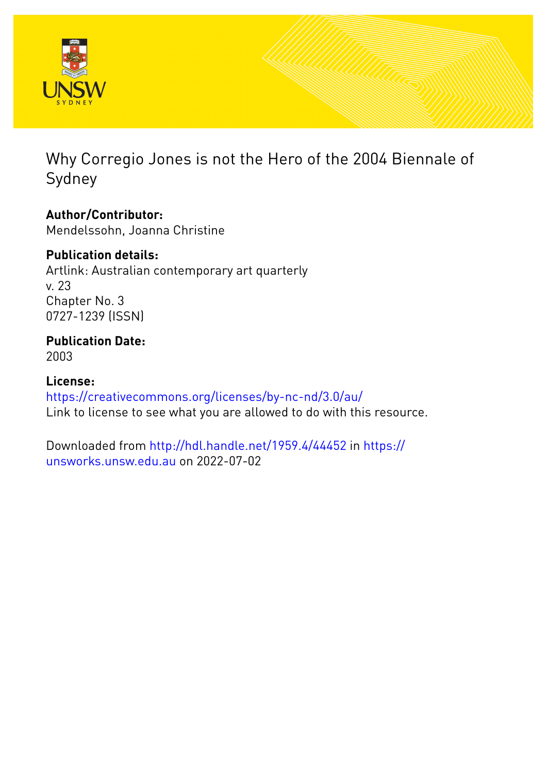

Why Corregio Jones is not the Hero of the 2004 Biennale of Sydney

**Author/Contributor:** Mendelssohn, Joanna Christine

## **Publication details:**

Artlink: Australian contemporary art quarterly v. 23 Chapter No. 3 0727-1239 (ISSN)

**Publication Date:** 2003

**License:** <https://creativecommons.org/licenses/by-nc-nd/3.0/au/> Link to license to see what you are allowed to do with this resource.

Downloaded from <http://hdl.handle.net/1959.4/44452> in [https://](https://unsworks.unsw.edu.au) [unsworks.unsw.edu.au](https://unsworks.unsw.edu.au) on 2022-07-02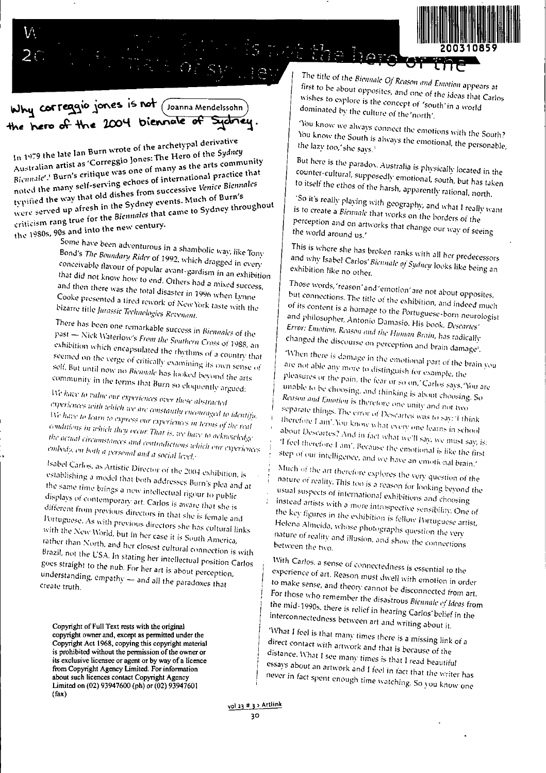

## Why correggio jones is not (Joanna Mendelssohn) the hero of the 2004 biennale of Sydney.

In 1979 the late Ian Burn wrote of the archetypal derivative Australian artist as 'Correggio Jones: The Hero of the Sydney Biennale'.' Burn's critique was one of many as the arts community noted the many self-serving echoes of international practice that typified the way that old dishes from successive Venice Biennales were served up afresh in the Sydney events. Much of Burn's criticism rang true for the Biennales that came to Sydney throughout the 1980s, 90s and into the new century.

Some have been adventurous in a shambolic way, like Tony Bond's The Boundary Rider of 1992, which dragged in every conceivable flavour of popular avant-gardism in an exhibition that did not know how to end. Others had a mixed success, and then there was the total disaster in 1996 when Lynne Cooke presented a tired rework of New York taste with the bizarre title Jurassic Technologies Revenant.

There has been one remarkable success in Biennales of the past - Nick Waterlow's From the Southern Cross of 1988, an exhibition which encapsulated the rhythms of a country that seemed on the verge of critically examining its own sense of self. But until now no Biennale has looked beyond the arts community in the terms that Burn so eloquently argued:

We have to value our experiences over these abstracted experiences with which we are constantly encouraged to identify. We have to learn to express our experiences in terms of the real conditions in which they occur. That is, we have to acknowledge the actual circumstances and contradictions which our experiences embody, on both a personal and a social level.

Isabel Carlos, as Artistic Director of the 2004 exhibition, is establishing a model that both addresses Burn's plea and at the same time brings a new intellectual rigour to public displays of contemporary art. Carlos is aware that she is different from previous directors in that she is female and Portuguese. As with previous directors she has cultural links with the New World, but in her case it is South America, rather than North, and her closest cultural connection is with Brazil, not the USA. In stating her intellectual position Carlos goes straight to the nub. For her art is about perception, understanding, empathy - and all the paradoxes that create truth.

Copyright of Full Text rests with the original copyright owner and, except as permitted under the Copyright Act 1968, copying this copyright material is prohibited without the permission of the owner or its exclusive licensee or agent or by way of a licence from Copyright Agency Limited. For information about such licences contact Copyright Agency Limited on (02) 93947600 (ph) or (02) 93947601  $(\text{tax})$ 

The title of the Biennale Of Reason and Emotion appears at first to be about opposites, and one of the ideas that Carlos wishes to explore is the concept of 'south' in a world dominated by the culture of the 'north'.

10MO

You know we always connect the emotions with the South? You know the South is always the emotional, the personable, the lazy too,' she says.'

But here is the paradox. Australia is physically located in the counter-cultural, supposedly emotional, south, but has taken to itself the ethos of the harsh, apparently rational, north.

'So it's really playing with geography, and what I really want is to create a Biennale that works on the borders of the perception and on artworks that change our way of seeing the world around us.'

This is where she has broken ranks with all her predecessors and why Isabel Carlos' Biennale of Sydney looks like being an exhibition like no other.

Those words, 'reason' and 'emotion' are not about opposites, but connections. The title of the exhibition, and indeed much of its content is a homage to the Portuguese-born neurologist and philosopher, Antonio Damasio. His book, Descartes' Error: Emotion, Reason and the Human Brain, has radically changed the discourse on perception and brain damage<sup>4</sup>.

When there is damage in the emotional part of the brain you are not able any more to distinguish for example, the pleasures or the pain, the fear or so on,' Carlos says. You are unable to be choosing, and thinking is about choosing. So Reason and Emotion is therefore one unity and not two separate things. The error of Descartes was to say: 'I think therefore I am'. You know what every one learns in school about Descartes? And in fact what we'll say, we must say, is: Theel therefore I am', Because the emotional is like the first step of our intelligence, and we have an emotional brain,'

Much of the art therefore explores the very question of the nature of reality. This too is a reason for looking beyond the usual suspects of international exhibitions and choosing instead artists with a more introspective sensibility. One of the key figures in the exhibition is fellow Portuguese artist, Helena Almeida, whose photographs question the very nature of reality and illusion, and show the connections between the two.

With Carlos, a sense of connectedness is essential to the experience of art. Reason must dwell with emotion in order to make sense, and theory cannot be disconnected from art. For those who remember the disastrous Bicnnale of Ideas from the mid-1990s, there is relief in hearing Carlos' belief in the interconnectedness between art and writing about it.

'What I feel is that many times there is a missing link of a direct contact with artwork and that is because of the distance. What I see many times is that I read beautiful essays about an artwork and I feel in fact that the writer has never in fact spent enough time watching. So you know one